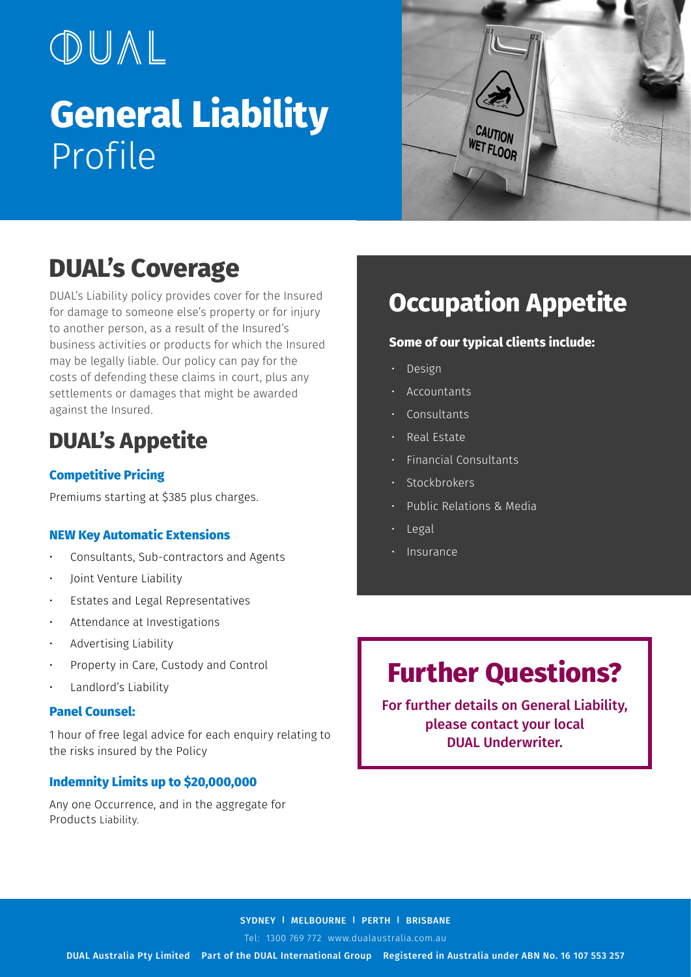# OUAL **General Liability**  Profile



# **DUAL's Coverage**

DUAL's Liability policy provides cover for the Insured for damage to someone else's property or for injury to another person, as a result of the Insured's business activities or products for which the Insured may be legally liable. Our policy can pay for the costs of defending these claims in court, plus any settlements or damages that might be awarded against the Insured.

# **DUAL's Appetite**

#### **Competitive Pricing**

Premiums starting at \$385 plus charges.

#### **NEW Key Automatic Extensions**

- Consultants, Sub-contractors and Agents
- Joint Venture Liability
- Estates and Legal Representatives
- Attendance at Investigations
- Advertising Liability
- Property in Care, Custody and Control
- Landlord's Liability

#### **Panel Counsel:**

1 hour of free legal advice for each enquiry relating to the risks insured by the Policy

#### **Indemnity Limits up to \$20,000,000**

Any one Occurrence, and in the aggregate for Products Liability.

# **Occupation Appetite**

#### **Some of our typical clients include:**

- Design
- Accountants
- Consultants
- Real Estate
- Financial Consultants
- Stockbrokers
- Public Relations & Media
- Legal
- **Insurance**

# **Further Questions?**

For further details on General Liability, please contact your local DUAL Underwriter.

#### SYDNEY | MELBOURNE | PERTH | BRISBANE

Tel: 1300 769 772 www.dualaustralia.com.au

DUAL Australia Pty Limited Part of the DUAL International Group Registered in Australia under ABN No. 16 107 553 257